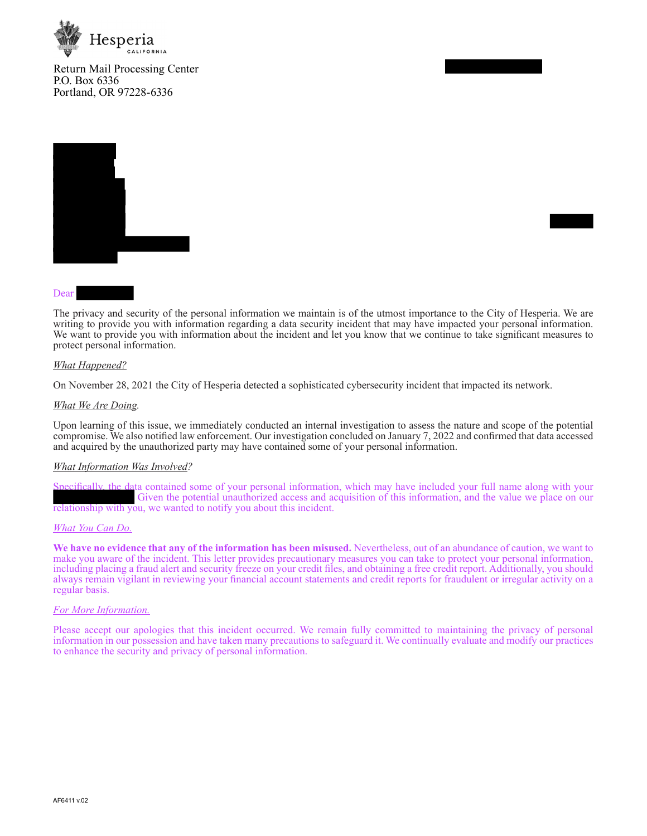

Return Mail Processing Center P.O. Box 6336 Portland, OR 97228-6336



### Dear

The privacy and security of the personal information we maintain is of the utmost importance to the City of Hesperia. We are writing to provide you with information regarding a data security incident that may have impacted your personal information. We want to provide you with information about the incident and let you know that we continue to take significant measures to protect personal information.

### *What Happened?*

On November 28, 2021 the City of Hesperia detected a sophisticated cybersecurity incident that impacted its network.

### *What We Are Doing.*

Upon learning of this issue, we immediately conducted an internal investigation to assess the nature and scope of the potential compromise. We also notified law enforcement. Our investigation concluded on January 7, 2022 and confirmed that data accessed and acquired by the unauthorized party may have contained some of your personal information.

### *What Information Was Involved?*

Specifically, the data contained some of your personal information, which may have included your full name along with your Given the potential unauthorized access and acquisition of this information, and the value we place on our relationship with you, we wanted to notify you about this incident.

### *What You Can Do.*

**We have no evidence that any of the information has been misused.** Nevertheless, out of an abundance of caution, we want to make you aware of the incident. This letter provides precautionary measures you can take to protect your personal information, including placing a fraud alert and security freeze on your credit files, and obtaining a free credit report. Additionally, you should always remain vigilant in reviewing your financial account statements and credit reports for fraudulent or irregular activity on a regular basis.

### *For More Information.*

Please accept our apologies that this incident occurred. We remain fully committed to maintaining the privacy of personal information in our possession and have taken many precautions to safeguard it. We continually evaluate and modify our practices to enhance the security and privacy of personal information.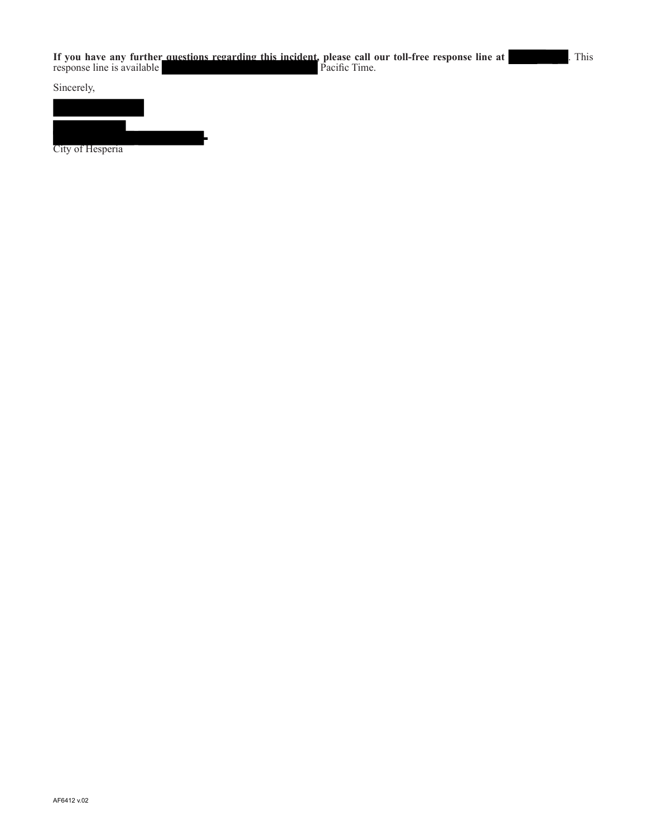Sincerely,



City of Hesperia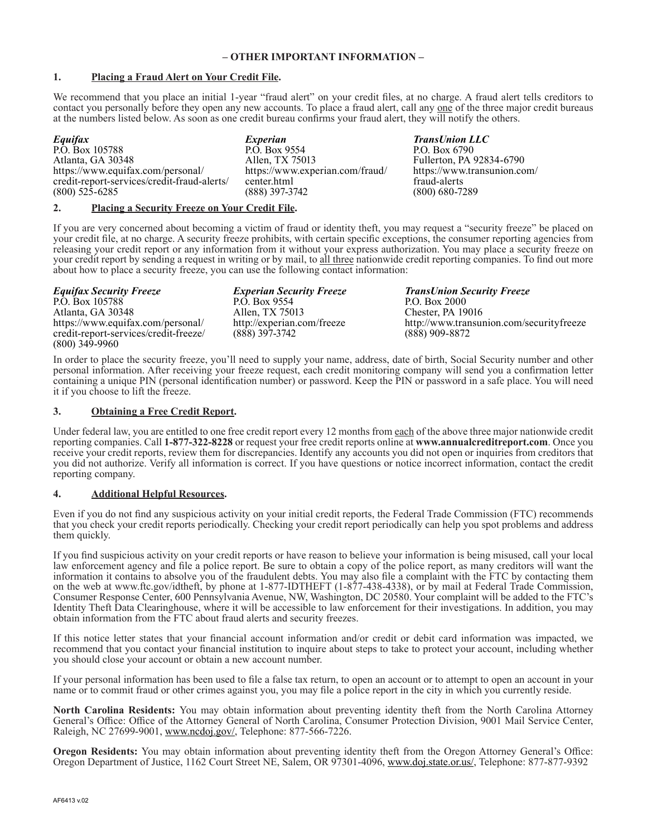# **– OTHER IMPORTANT INFORMATION –**

# **1. Placing a Fraud Alert on Your Credit File.**

We recommend that you place an initial 1-year "fraud alert" on your credit files, at no charge. A fraud alert tells creditors to contact you personally before they open any new accounts. To place a fraud alert, call any <u>one</u> of the three major credit bureaus at the numbers listed below. As soon as one credit bureau confirms your fraud alert, they will notify the others.

| Equifax                                     |               |
|---------------------------------------------|---------------|
| P.O. Box 105788                             | F             |
| Atlanta, GA 30348                           | A             |
| https://www.equifax.com/personal/           | h             |
| credit-report-services/credit-fraud-alerts/ | $\mathcal{C}$ |
| $(800)$ 525-6285                            |               |

*Experian*  P.O. Box 9554 Allen, TX 75013 https://www.experian.com/fraud/ center.html (888) 397-3742

*TransUnion LLC* P.O. Box 6790 Fullerton, PA 92834-6790 https://www.transunion.com/ fraud-alerts (800) 680-7289

# **2. Placing a Security Freeze on Your Credit File.**

If you are very concerned about becoming a victim of fraud or identity theft, you may request a "security freeze" be placed on your credit file, at no charge. A security freeze prohibits, with certain specific exceptions, the consumer reporting agencies from releasing your credit report or any information from it without your express authorization. You may place a security freeze on your credit report by sending a request in writing or by mail, to all three nationwide credit reporting companies. To find out more about how to place a security freeze, you can use the following contact information:

*Equifax Security Freeze* P.O. Box 105788 Atlanta, GA 30348 https://www.equifax.com/personal/ credit-report-services/credit-freeze/ (800) 349-9960

*Experian Security Freeze* P.O. Box 9554 Allen, TX 75013 http://experian.com/freeze (888) 397-3742

*TransUnion Security Freeze* P.O. Box 2000 Chester, PA 19016 http://www.transunion.com/securityfreeze (888) 909-8872

In order to place the security freeze, you'll need to supply your name, address, date of birth, Social Security number and other personal information. After receiving your freeze request, each credit monitoring company will send you a confirmation letter containing a unique PIN (personal identification number) or password. Keep the PIN or password in a safe place. You will need it if you choose to lift the freeze.

# **3. Obtaining a Free Credit Report.**

Under federal law, you are entitled to one free credit report every 12 months from each of the above three major nationwide credit reporting companies. Call **1-877-322-8228** or request your free credit reports online at **www.annualcreditreport.com**. Once you receive your credit reports, review them for discrepancies. Identify any accounts you did not open or inquiries from creditors that you did not authorize. Verify all information is correct. If you have questions or notice incorrect information, contact the credit reporting company.

# **4. Additional Helpful Resources.**

Even if you do not find any suspicious activity on your initial credit reports, the Federal Trade Commission (FTC) recommends that you check your credit reports periodically. Checking your credit report periodically can help you spot problems and address them quickly.

If you find suspicious activity on your credit reports or have reason to believe your information is being misused, call your local law enforcement agency and file a police report. Be sure to obtain a copy of the police report, as many creditors will want the information it contains to absolve you of the fraudulent debts. You may also file a complaint with the FTC by contacting them on the web at www.ftc.gov/idtheft, by phone at 1-877-IDTHEFT (1-877-438-4338), or by mail at Federal Trade Commission, Consumer Response Center, 600 Pennsylvania Avenue, NW, Washington, DC 20580. Your complaint will be added to the FTC's Identity Theft Data Clearinghouse, where it will be accessible to law enforcement for their investigations. In addition, you may obtain information from the FTC about fraud alerts and security freezes.

If this notice letter states that your financial account information and/or credit or debit card information was impacted, we recommend that you contact your financial institution to inquire about steps to take to protect your account, including whether you should close your account or obtain a new account number.

If your personal information has been used to file a false tax return, to open an account or to attempt to open an account in your name or to commit fraud or other crimes against you, you may file a police report in the city in which you currently reside.

**North Carolina Residents:** You may obtain information about preventing identity theft from the North Carolina Attorney General's Office: Office of the Attorney General of North Carolina, Consumer Protection Division, 9001 Mail Service Center, Raleigh, NC 27699-9001, www.ncdoj.gov/, Telephone: 877-566-7226.

**Oregon Residents:** You may obtain information about preventing identity theft from the Oregon Attorney General's Office: Oregon Department of Justice, 1162 Court Street NE, Salem, OR 97301-4096, www.doj.state.or.us/, Telephone: 877-877-9392